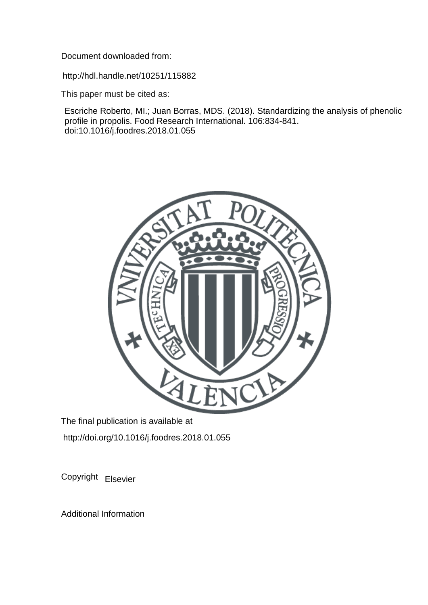Document downloaded from:

http://hdl.handle.net/10251/115882

This paper must be cited as:

Escriche Roberto, MI.; Juan Borras, MDS. (2018). Standardizing the analysis of phenolic profile in propolis. Food Research International. 106:834-841. doi:10.1016/j.foodres.2018.01.055



The final publication is available at http://doi.org/10.1016/j.foodres.2018.01.055

Copyright Elsevier

Additional Information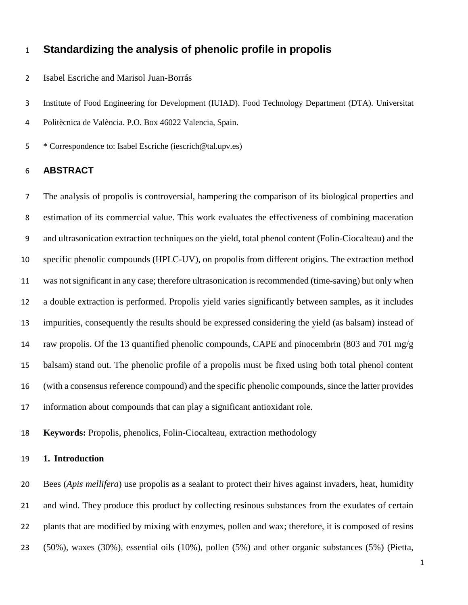# **Standardizing the analysis of phenolic profile in propolis**

Isabel Escriche and Marisol Juan-Borrás

Institute of Food Engineering for Development (IUIAD). Food Technology Department (DTA). Universitat

Politècnica de València. P.O. Box 46022 Valencia, Spain.

\* Correspondence to: Isabel Escriche (iescrich@tal.upv.es)

## **ABSTRACT**

 The analysis of propolis is controversial, hampering the comparison of its biological properties and estimation of its commercial value. This work evaluates the effectiveness of combining maceration and ultrasonication extraction techniques on the yield, total phenol content (Folin-Ciocalteau) and the specific phenolic compounds (HPLC-UV), on propolis from different origins. The extraction method was not significant in any case; therefore ultrasonication is recommended (time-saving) but only when a double extraction is performed. Propolis yield varies significantly between samples, as it includes impurities, consequently the results should be expressed considering the yield (as balsam) instead of raw propolis. Of the 13 quantified phenolic compounds, CAPE and pinocembrin (803 and 701 mg/g balsam) stand out. The phenolic profile of a propolis must be fixed using both total phenol content (with a consensus reference compound) and the specific phenolic compounds, since the latter provides information about compounds that can play a significant antioxidant role.

**Keywords:** Propolis, phenolics, Folin-Ciocalteau, extraction methodology

## **1. Introduction**

 Bees (*Apis mellifera*) use propolis as a sealant to protect their hives against invaders, heat, humidity and wind. They produce this product by collecting resinous substances from the exudates of certain plants that are modified by mixing with enzymes, pollen and wax; therefore, it is composed of resins (50%), waxes (30%), essential oils (10%), pollen (5%) and other organic substances (5%) (Pietta,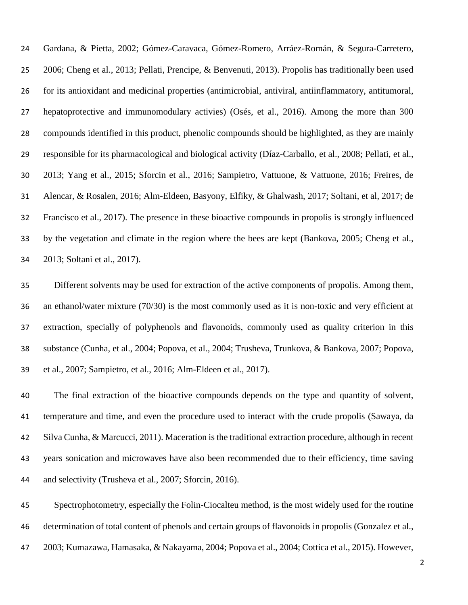Gardana, & Pietta, 2002; Gómez-Caravaca, Gómez-Romero, Arráez-Román, & Segura-Carretero, 2006; Cheng et al., 2013; Pellati, Prencipe, & Benvenuti, 2013). Propolis has traditionally been used for its antioxidant and medicinal properties (antimicrobial, antiviral, antiinflammatory, antitumoral, hepatoprotective and immunomodulary activies) (Osés, et al., 2016). Among the more than 300 compounds identified in this product, phenolic compounds should be highlighted, as they are mainly responsible for its pharmacological and biological activity (Díaz-Carballo, et al., 2008; Pellati, et al., 2013; Yang et al., 2015; Sforcin et al., 2016; Sampietro, Vattuone, & Vattuone, 2016; Freires, de Alencar, & Rosalen, 2016; Alm-Eldeen, Basyony, Elfiky, & Ghalwash, 2017; Soltani, et al, 2017; de Francisco et al., 2017). The presence in these bioactive compounds in propolis is strongly influenced by the vegetation and climate in the region where the bees are kept (Bankova, 2005; Cheng et al., 2013; Soltani et al., 2017).

 Different solvents may be used for extraction of the active components of propolis. Among them, an ethanol/water mixture (70/30) is the most commonly used as it is non-toxic and very efficient at extraction, specially of polyphenols and flavonoids, commonly used as quality criterion in this substance (Cunha, et al., 2004; Popova, et al., 2004; Trusheva, Trunkova, & Bankova, 2007; Popova, et al., 2007; Sampietro, et al., 2016; Alm-Eldeen et al., 2017).

 The final extraction of the bioactive compounds depends on the type and quantity of solvent, temperature and time, and even the procedure used to interact with the crude propolis (Sawaya, da Silva Cunha, & Marcucci, 2011). Maceration is the traditional extraction procedure, although in recent years sonication and microwaves have also been recommended due to their efficiency, time saving and selectivity (Trusheva et al., 2007; Sforcin, 2016).

 Spectrophotometry, especially the Folin-Ciocalteu method, is the most widely used for the routine determination of total content of phenols and certain groups of flavonoids in propolis (Gonzalez et al., 2003; Kumazawa, Hamasaka, & Nakayama, 2004; Popova et al., 2004; Cottica et al., 2015). However,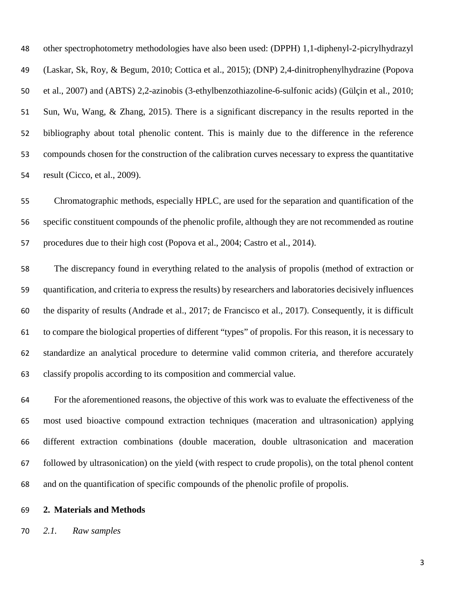other spectrophotometry methodologies have also been used: (DPPH) 1,1-diphenyl-2-picrylhydrazyl (Laskar, Sk, Roy, & Begum, 2010; Cottica et al., 2015); (DNP) 2,4-dinitrophenylhydrazine (Popova et al., 2007) and (ABTS) 2,2-azinobis (3-ethylbenzothiazoline-6-sulfonic acids) (Gülçin et al., 2010; Sun, Wu, Wang, & Zhang, 2015). There is a significant discrepancy in the results reported in the bibliography about total phenolic content. This is mainly due to the difference in the reference compounds chosen for the construction of the calibration curves necessary to express the quantitative result (Cicco, et al., 2009).

 Chromatographic methods, especially HPLC, are used for the separation and quantification of the specific constituent compounds of the phenolic profile, although they are not recommended as routine procedures due to their high cost (Popova et al., 2004; Castro et al., 2014).

 The discrepancy found in everything related to the analysis of propolis (method of extraction or quantification, and criteria to express the results) by researchers and laboratories decisively influences the disparity of results (Andrade et al., 2017; de Francisco et al., 2017). Consequently, it is difficult to compare the biological properties of different "types" of propolis. For this reason, it is necessary to standardize an analytical procedure to determine valid common criteria, and therefore accurately classify propolis according to its composition and commercial value.

 For the aforementioned reasons, the objective of this work was to evaluate the effectiveness of the most used bioactive compound extraction techniques (maceration and ultrasonication) applying different extraction combinations (double maceration, double ultrasonication and maceration followed by ultrasonication) on the yield (with respect to crude propolis), on the total phenol content and on the quantification of specific compounds of the phenolic profile of propolis.

### **2. Materials and Methods**

*2.1. Raw samples*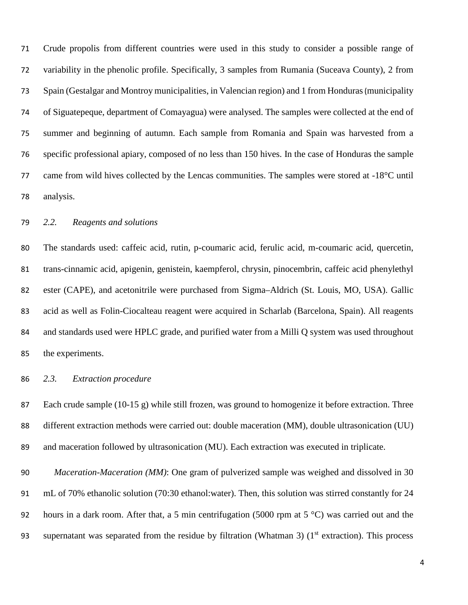Crude propolis from different countries were used in this study to consider a possible range of variability in the phenolic profile. Specifically, 3 samples from Rumania (Suceava County), 2 from Spain (Gestalgar and Montroy municipalities, in Valencian region) and 1 from Honduras(municipality of Siguatepeque, department of Comayagua) were analysed. The samples were collected at the end of summer and beginning of autumn. Each sample from Romania and Spain was harvested from a specific professional apiary, composed of no less than 150 hives. In the case of Honduras the sample came from wild hives collected by the Lencas communities. The samples were stored at -18°C until analysis.

### *2.2. Reagents and solutions*

 The standards used: caffeic acid, rutin, p-coumaric acid, ferulic acid, m-coumaric acid, quercetin, trans-cinnamic acid, apigenin, genistein, kaempferol, chrysin, pinocembrin, caffeic acid phenylethyl ester (CAPE), and acetonitrile were purchased from Sigma–Aldrich (St. Louis, MO, USA). Gallic acid as well as Folin-Ciocalteau reagent were acquired in Scharlab (Barcelona, Spain). All reagents and standards used were HPLC grade, and purified water from a Milli Q system was used throughout the experiments.

## *2.3. Extraction procedure*

 Each crude sample (10-15 g) while still frozen, was ground to homogenize it before extraction. Three different extraction methods were carried out: double maceration (MM), double ultrasonication (UU) and maceration followed by ultrasonication (MU). Each extraction was executed in triplicate.

 *Maceration-Maceration (MM)*: One gram of pulverized sample was weighed and dissolved in 30 mL of 70% ethanolic solution (70:30 ethanol:water). Then, this solution was stirred constantly for 24 hours in a dark room. After that, a 5 min centrifugation (5000 rpm at 5 °C) was carried out and the 93 supernatant was separated from the residue by filtration (Whatman 3) ( $1<sup>st</sup>$  extraction). This process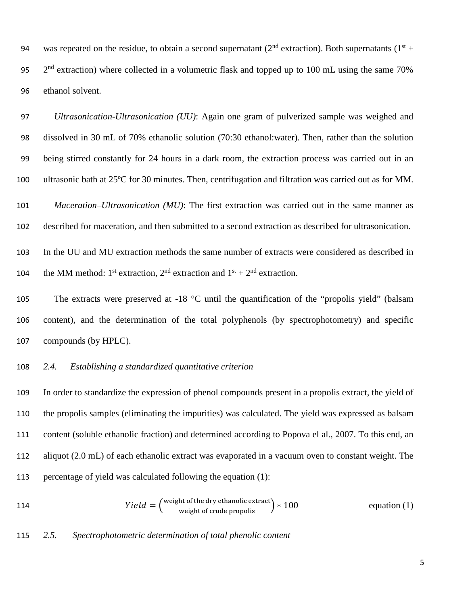94 was repeated on the residue, to obtain a second supernatant ( $2<sup>nd</sup>$  extraction). Both supernatants ( $1<sup>st</sup> +$  $2<sup>nd</sup>$  extraction) where collected in a volumetric flask and topped up to 100 mL using the same 70% ethanol solvent.

 *Ultrasonication-Ultrasonication (UU)*: Again one gram of pulverized sample was weighed and dissolved in 30 mL of 70% ethanolic solution (70:30 ethanol:water). Then, rather than the solution being stirred constantly for 24 hours in a dark room, the extraction process was carried out in an ultrasonic bath at 25ºC for 30 minutes. Then, centrifugation and filtration was carried out as for MM.

 *Maceration–Ultrasonication (MU)*: The first extraction was carried out in the same manner as described for maceration, and then submitted to a second extraction as described for ultrasonication.

 In the UU and MU extraction methods the same number of extracts were considered as described in 104 the MM method: 1<sup>st</sup> extraction, 2<sup>nd</sup> extraction and  $1<sup>st</sup> + 2<sup>nd</sup>$  extraction.

105 The extracts were preserved at -18 °C until the quantification of the "propolis yield" (balsam content), and the determination of the total polyphenols (by spectrophotometry) and specific compounds (by HPLC).

## *2.4. Establishing a standardized quantitative criterion*

 In order to standardize the expression of phenol compounds present in a propolis extract, the yield of the propolis samples (eliminating the impurities) was calculated. The yield was expressed as balsam content (soluble ethanolic fraction) and determined according to Popova el al., 2007. To this end, an aliquot (2.0 mL) of each ethanolic extract was evaporated in a vacuum oven to constant weight. The percentage of yield was calculated following the equation (1):

114 
$$
Yield = \left(\frac{\text{weight of the dry ethanolic extract}}{\text{weight of crude propolis}}\right) * 100
$$
 equation (1)

## *2.5. Spectrophotometric determination of total phenolic content*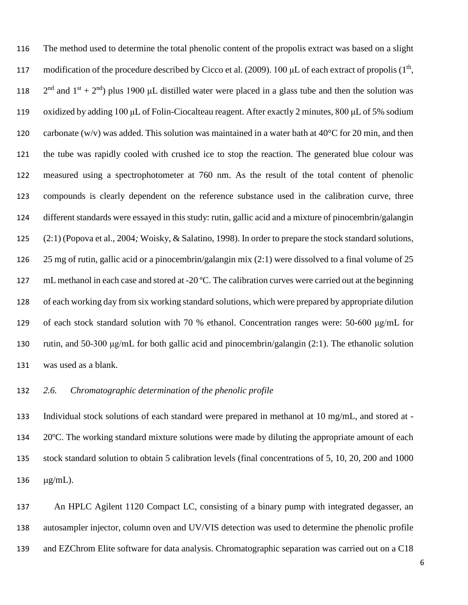The method used to determine the total phenolic content of the propolis extract was based on a slight modification of the procedure described by Cicco et al. (2009). 100 μL of each extract of propolis (1<sup>th</sup>,  $2<sup>nd</sup>$  and  $1<sup>st</sup> + 2<sup>nd</sup>$ ) plus 1900 µL distilled water were placed in a glass tube and then the solution was oxidized by adding 100 μL of Folin-Ciocalteau reagent. After exactly 2 minutes, 800 μL of 5% sodium 120 carbonate (w/v) was added. This solution was maintained in a water bath at  $40^{\circ}$ C for 20 min, and then the tube was rapidly cooled with crushed ice to stop the reaction. The generated blue colour was measured using a spectrophotometer at 760 nm. As the result of the total content of phenolic compounds is clearly dependent on the reference substance used in the calibration curve, three different standards were essayed in this study: rutin, gallic acid and a mixture of pinocembrin/galangin (2:1) (Popova et al., 2004*;* Woisky, & Salatino, 1998). In order to prepare the stock standard solutions, 25 mg of rutin, gallic acid or a pinocembrin/galangin mix (2:1) were dissolved to a final volume of 25 mL methanol in each case and stored at -20 ºC. The calibration curves were carried out at the beginning of each working day from six working standard solutions, which were prepared by appropriate dilution of each stock standard solution with 70 % ethanol. Concentration ranges were: 50-600 μg/mL for rutin, and 50-300 μg/mL for both gallic acid and pinocembrin/galangin (2:1). The ethanolic solution was used as a blank.

## *2.6. Chromatographic determination of the phenolic profile*

 Individual stock solutions of each standard were prepared in methanol at 10 mg/mL, and stored at - 20ºC. The working standard mixture solutions were made by diluting the appropriate amount of each stock standard solution to obtain 5 calibration levels (final concentrations of 5, 10, 20, 200 and 1000 µg/mL).

 An HPLC Agilent 1120 Compact LC, consisting of a binary pump with integrated degasser, an autosampler injector, column oven and UV/VIS detection was used to determine the phenolic profile and EZChrom Elite software for data analysis. Chromatographic separation was carried out on a C18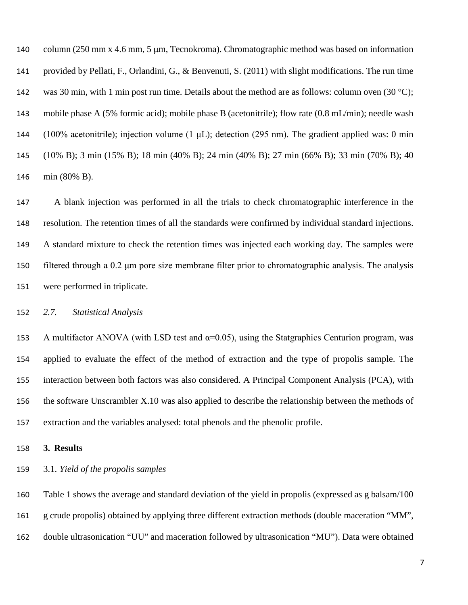column (250 mm x 4.6 mm, 5 µm, Tecnokroma). Chromatographic method was based on information provided by Pellati, F., Orlandini, G., & Benvenuti, S. (2011) with slight modifications. The run time 142 was 30 min, with 1 min post run time. Details about the method are as follows: column oven (30 °C); mobile phase A (5% formic acid); mobile phase B (acetonitrile); flow rate (0.8 mL/min); needle wash (100% acetonitrile); injection volume (1 μL); detection (295 nm). The gradient applied was: 0 min (10% B); 3 min (15% B); 18 min (40% B); 24 min (40% B); 27 min (66% B); 33 min (70% B); 40 min (80% B).

 A blank injection was performed in all the trials to check chromatographic interference in the resolution. The retention times of all the standards were confirmed by individual standard injections. A standard mixture to check the retention times was injected each working day. The samples were filtered through a 0.2 μm pore size membrane filter prior to chromatographic analysis. The analysis were performed in triplicate.

*2.7. Statistical Analysis*

153 A multifactor ANOVA (with LSD test and  $\alpha$ =0.05), using the Statgraphics Centurion program, was applied to evaluate the effect of the method of extraction and the type of propolis sample. The interaction between both factors was also considered. A Principal Component Analysis (PCA), with the software Unscrambler X.10 was also applied to describe the relationship between the methods of extraction and the variables analysed: total phenols and the phenolic profile.

**3. Results**

3.1. *Yield of the propolis samples* 

 Table 1 shows the average and standard deviation of the yield in propolis (expressed as g balsam/100 g crude propolis) obtained by applying three different extraction methods (double maceration "MM", double ultrasonication "UU" and maceration followed by ultrasonication "MU"). Data were obtained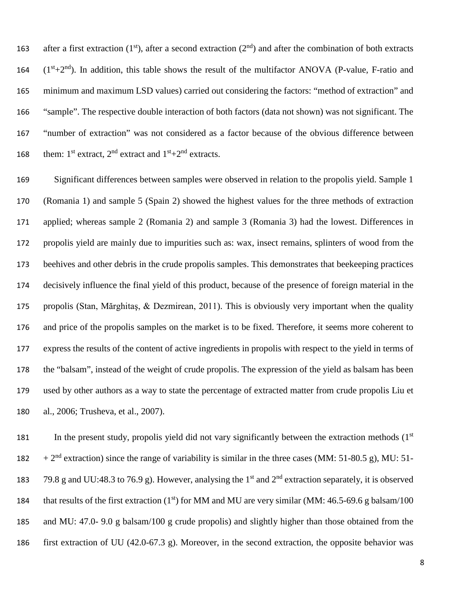163 after a first extraction (1st), after a second extraction ( $2<sup>nd</sup>$ ) and after the combination of both extracts  $(1<sup>st</sup>+2<sup>nd</sup>)$ . In addition, this table shows the result of the multifactor ANOVA (P-value, F-ratio and minimum and maximum LSD values) carried out considering the factors: "method of extraction" and "sample". The respective double interaction of both factors (data not shown) was not significant. The "number of extraction" was not considered as a factor because of the obvious difference between 168 them:  $1^{\text{st}}$  extract,  $2^{\text{nd}}$  extract and  $1^{\text{st}}+2^{\text{nd}}$  extracts.

 Significant differences between samples were observed in relation to the propolis yield. Sample 1 (Romania 1) and sample 5 (Spain 2) showed the highest values for the three methods of extraction applied; whereas sample 2 (Romania 2) and sample 3 (Romania 3) had the lowest. Differences in propolis yield are mainly due to impurities such as: wax, insect remains, splinters of wood from the beehives and other debris in the crude propolis samples. This demonstrates that beekeeping practices decisively influence the final yield of this product, because of the presence of foreign material in the propolis (Stan, Mărghitaş, & Dezmirean, 2011). This is obviously very important when the quality and price of the propolis samples on the market is to be fixed. Therefore, it seems more coherent to express the results of the content of active ingredients in propolis with respect to the yield in terms of the "balsam", instead of the weight of crude propolis. The expression of the yield as balsam has been used by other authors as a way to state the percentage of extracted matter from crude propolis Liu et al., 2006; Trusheva, et al., 2007).

181 In the present study, propolis yield did not vary significantly between the extraction methods  $(1<sup>st</sup>$  $+ 2<sup>nd</sup>$  extraction) since the range of variability is similar in the three cases (MM: 51-80.5 g), MU: 51-183 79.8 g and UU:48.3 to 76.9 g). However, analysing the 1<sup>st</sup> and  $2<sup>nd</sup>$  extraction separately, it is observed 184 that results of the first extraction  $(1<sup>st</sup>)$  for MM and MU are very similar (MM: 46.5-69.6 g balsam/100 and MU: 47.0- 9.0 g balsam/100 g crude propolis) and slightly higher than those obtained from the first extraction of UU (42.0-67.3 g). Moreover, in the second extraction, the opposite behavior was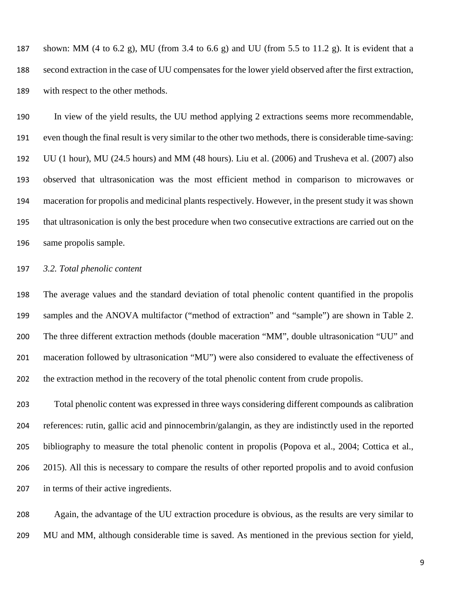187 shown: MM (4 to 6.2 g), MU (from 3.4 to 6.6 g) and UU (from 5.5 to 11.2 g). It is evident that a second extraction in the case of UU compensates for the lower yield observed after the first extraction, with respect to the other methods.

 In view of the yield results, the UU method applying 2 extractions seems more recommendable, even though the final result is very similar to the other two methods, there is considerable time-saving: UU (1 hour), MU (24.5 hours) and MM (48 hours). Liu et al. (2006) and Trusheva et al. (2007) also observed that ultrasonication was the most efficient method in comparison to microwaves or maceration for propolis and medicinal plants respectively. However, in the present study it was shown that ultrasonication is only the best procedure when two consecutive extractions are carried out on the same propolis sample.

## *3.2. Total phenolic content*

 The average values and the standard deviation of total phenolic content quantified in the propolis samples and the ANOVA multifactor ("method of extraction" and "sample") are shown in Table 2. The three different extraction methods (double maceration "MM", double ultrasonication "UU" and maceration followed by ultrasonication "MU") were also considered to evaluate the effectiveness of the extraction method in the recovery of the total phenolic content from crude propolis.

 Total phenolic content was expressed in three ways considering different compounds as calibration references: rutin, gallic acid and pinnocembrin/galangin, as they are indistinctly used in the reported bibliography to measure the total phenolic content in propolis (Popova et al., 2004; Cottica et al., 2015). All this is necessary to compare the results of other reported propolis and to avoid confusion in terms of their active ingredients.

 Again, the advantage of the UU extraction procedure is obvious, as the results are very similar to MU and MM, although considerable time is saved. As mentioned in the previous section for yield,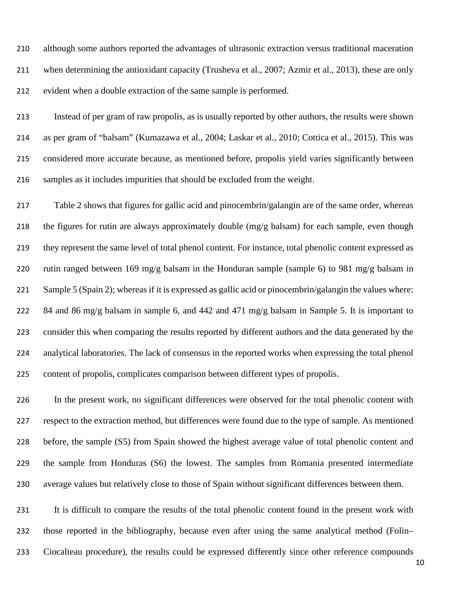although some authors reported the advantages of ultrasonic extraction versus traditional maceration when determining the antioxidant capacity (Trusheva et al., 2007; Azmir et al., 2013), these are only evident when a double extraction of the same sample is performed.

 Instead of per gram of raw propolis, as is usually reported by other authors, the results were shown as per gram of "balsam" (Kumazawa et al., 2004; Laskar et al., 2010; Cottica et al., 2015). This was considered more accurate because, as mentioned before, propolis yield varies significantly between samples as it includes impurities that should be excluded from the weight.

 Table 2 shows that figures for gallic acid and pinocembrin/galangin are of the same order, whereas the figures for rutin are always approximately double (mg/g balsam) for each sample, even though they represent the same level of total phenol content. For instance, total phenolic content expressed as rutin ranged between 169 mg/g balsam in the Honduran sample (sample 6) to 981 mg/g balsam in Sample 5 (Spain 2); whereas if it is expressed as gallic acid or pinocembrin/galangin the values where: 84 and 86 mg/g balsam in sample 6, and 442 and 471 mg/g balsam in Sample 5. It is important to consider this when comparing the results reported by different authors and the data generated by the analytical laboratories. The lack of consensus in the reported works when expressing the total phenol content of propolis, complicates comparison between different types of propolis.

 In the present work, no significant differences were observed for the total phenolic content with respect to the extraction method, but differences were found due to the type of sample. As mentioned before, the sample (S5) from Spain showed the highest average value of total phenolic content and the sample from Honduras (S6) the lowest. The samples from Romania presented intermediate average values but relatively close to those of Spain without significant differences between them.

 It is difficult to compare the results of the total phenolic content found in the present work with those reported in the bibliography, because even after using the same analytical method (Folin– Ciocalteau procedure), the results could be expressed differently since other reference compounds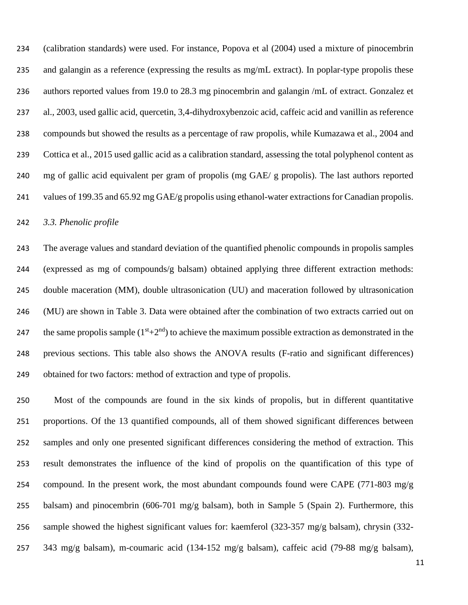(calibration standards) were used. For instance, Popova et al (2004) used a mixture of pinocembrin 235 and galangin as a reference (expressing the results as mg/mL extract). In poplar-type propolis these authors reported values from 19.0 to 28.3 mg pinocembrin and galangin /mL of extract. Gonzalez et al., 2003, used gallic acid, quercetin, 3,4-dihydroxybenzoic acid, caffeic acid and vanillin as reference compounds but showed the results as a percentage of raw propolis, while Kumazawa et al., 2004 and Cottica et al., 2015 used gallic acid as a calibration standard, assessing the total polyphenol content as mg of gallic acid equivalent per gram of propolis (mg GAE/ g propolis). The last authors reported 241 values of 199.35 and 65.92 mg GAE/g propolis using ethanol-water extractions for Canadian propolis.

#### *3.3. Phenolic profile*

 The average values and standard deviation of the quantified phenolic compounds in propolis samples (expressed as mg of compounds/g balsam) obtained applying three different extraction methods: double maceration (MM), double ultrasonication (UU) and maceration followed by ultrasonication (MU) are shown in Table 3. Data were obtained after the combination of two extracts carried out on 247 the same propolis sample  $(1<sup>st</sup>+2<sup>nd</sup>)$  to achieve the maximum possible extraction as demonstrated in the previous sections. This table also shows the ANOVA results (F-ratio and significant differences) obtained for two factors: method of extraction and type of propolis.

 Most of the compounds are found in the six kinds of propolis, but in different quantitative proportions. Of the 13 quantified compounds, all of them showed significant differences between samples and only one presented significant differences considering the method of extraction. This result demonstrates the influence of the kind of propolis on the quantification of this type of 254 compound. In the present work, the most abundant compounds found were CAPE (771-803 mg/g) 255 balsam) and pinocembrin (606-701 mg/g balsam), both in Sample 5 (Spain 2). Furthermore, this sample showed the highest significant values for: kaemferol (323-357 mg/g balsam), chrysin (332- 343 mg/g balsam), m-coumaric acid (134-152 mg/g balsam), caffeic acid (79-88 mg/g balsam),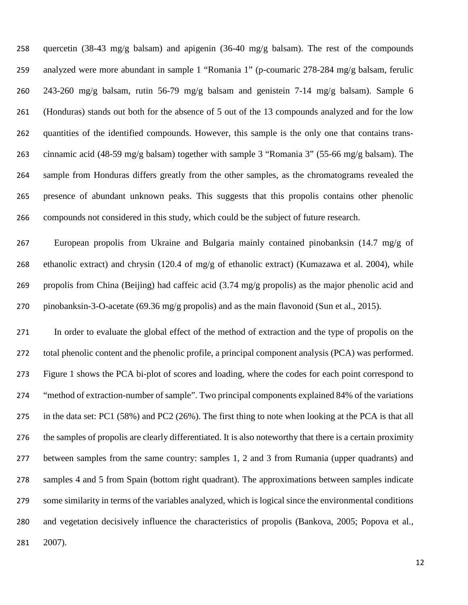quercetin (38-43 mg/g balsam) and apigenin (36-40 mg/g balsam). The rest of the compounds analyzed were more abundant in sample 1 "Romania 1" (p-coumaric 278-284 mg/g balsam, ferulic 243-260 mg/g balsam, rutin 56-79 mg/g balsam and genistein 7-14 mg/g balsam). Sample 6 (Honduras) stands out both for the absence of 5 out of the 13 compounds analyzed and for the low quantities of the identified compounds. However, this sample is the only one that contains trans- cinnamic acid (48-59 mg/g balsam) together with sample 3 "Romania 3" (55-66 mg/g balsam). The sample from Honduras differs greatly from the other samples, as the chromatograms revealed the presence of abundant unknown peaks. This suggests that this propolis contains other phenolic compounds not considered in this study, which could be the subject of future research.

 European propolis from Ukraine and Bulgaria mainly contained pinobanksin (14.7 mg/g of ethanolic extract) and chrysin (120.4 of mg/g of ethanolic extract) (Kumazawa et al. 2004), while propolis from China (Beijing) had caffeic acid (3.74 mg/g propolis) as the major phenolic acid and pinobanksin-3-O-acetate (69.36 mg/g propolis) and as the main flavonoid (Sun et al., 2015).

 In order to evaluate the global effect of the method of extraction and the type of propolis on the total phenolic content and the phenolic profile, a principal component analysis (PCA) was performed. Figure 1 shows the PCA bi-plot of scores and loading, where the codes for each point correspond to "method of extraction-number of sample". Two principal components explained 84% of the variations in the data set: PC1 (58%) and PC2 (26%). The first thing to note when looking at the PCA is that all the samples of propolis are clearly differentiated. It is also noteworthy that there is a certain proximity between samples from the same country: samples 1, 2 and 3 from Rumania (upper quadrants) and samples 4 and 5 from Spain (bottom right quadrant). The approximations between samples indicate some similarity in terms of the variables analyzed, which is logical since the environmental conditions and vegetation decisively influence the characteristics of propolis (Bankova, 2005; Popova et al., 2007).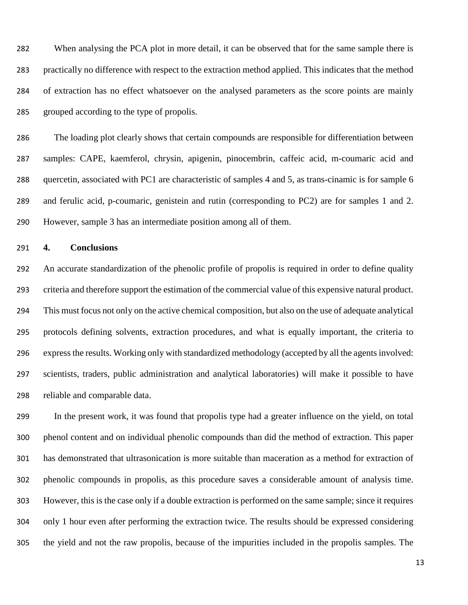When analysing the PCA plot in more detail, it can be observed that for the same sample there is practically no difference with respect to the extraction method applied. This indicates that the method of extraction has no effect whatsoever on the analysed parameters as the score points are mainly grouped according to the type of propolis.

 The loading plot clearly shows that certain compounds are responsible for differentiation between samples: CAPE, kaemferol, chrysin, apigenin, pinocembrin, caffeic acid, m-coumaric acid and quercetin, associated with PC1 are characteristic of samples 4 and 5, as trans-cinamic is for sample 6 and ferulic acid, p-coumaric, genistein and rutin (corresponding to PC2) are for samples 1 and 2. However, sample 3 has an intermediate position among all of them.

### **4. Conclusions**

 An accurate standardization of the phenolic profile of propolis is required in order to define quality criteria and therefore support the estimation of the commercial value of this expensive natural product. This must focus not only on the active chemical composition, but also on the use of adequate analytical protocols defining solvents, extraction procedures, and what is equally important, the criteria to express the results. Working only with standardized methodology (accepted by all the agents involved: scientists, traders, public administration and analytical laboratories) will make it possible to have reliable and comparable data.

 In the present work, it was found that propolis type had a greater influence on the yield, on total phenol content and on individual phenolic compounds than did the method of extraction. This paper has demonstrated that ultrasonication is more suitable than maceration as a method for extraction of phenolic compounds in propolis, as this procedure saves a considerable amount of analysis time. However, this is the case only if a double extraction is performed on the same sample; since it requires only 1 hour even after performing the extraction twice. The results should be expressed considering the yield and not the raw propolis, because of the impurities included in the propolis samples. The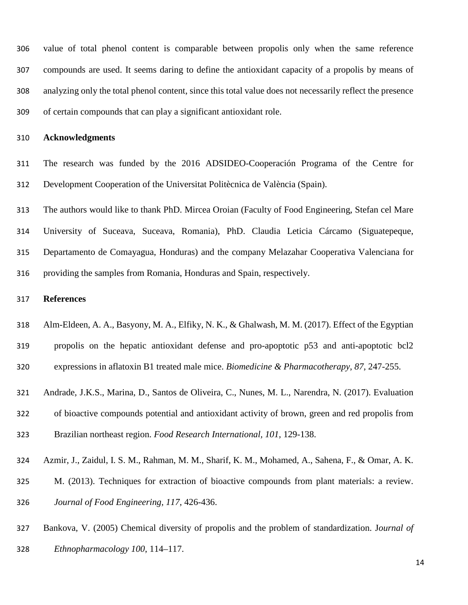value of total phenol content is comparable between propolis only when the same reference compounds are used. It seems daring to define the antioxidant capacity of a propolis by means of analyzing only the total phenol content, since this total value does not necessarily reflect the presence of certain compounds that can play a significant antioxidant role.

### **Acknowledgments**

 The research was funded by the 2016 ADSIDEO-Cooperación Programa of the Centre for Development Cooperation of the Universitat Politècnica de València (Spain).

 The authors would like to thank PhD. Mircea Oroian (Faculty of Food Engineering, Stefan cel Mare University of Suceava, Suceava, Romania), PhD. Claudia Leticia Cárcamo (Siguatepeque, Departamento de Comayagua, Honduras) and the company Melazahar Cooperativa Valenciana for providing the samples from Romania, Honduras and Spain, respectively.

## **References**

- Alm-Eldeen, A. A., Basyony, M. A., Elfiky, N. K., & Ghalwash, M. M. (2017). Effect of the Egyptian
- propolis on the hepatic antioxidant defense and pro-apoptotic p53 and anti-apoptotic bcl2 expressions in aflatoxin B1 treated male mice. *Biomedicine & Pharmacotherapy*, *87*, 247-255.
- Andrade, J.K.S., Marina, D., Santos de Oliveira, C., Nunes, M. L., Narendra, N. (2017). Evaluation
- of bioactive compounds potential and antioxidant activity of brown, green and red propolis from
- Brazilian northeast region. *Food Research International, 101,* 129-138.
- Azmir, J., Zaidul, I. S. M., Rahman, M. M., Sharif, K. M., Mohamed, A., Sahena, F., & Omar, A. K.
- M. (2013). Techniques for extraction of bioactive compounds from plant materials: a review.
- *Journal of Food Engineering, 117*, 426-436.
- Bankova, V. (2005) Chemical diversity of propolis and the problem of standardization. J*ournal of*
- *Ethnopharmacology 100*, 114–117.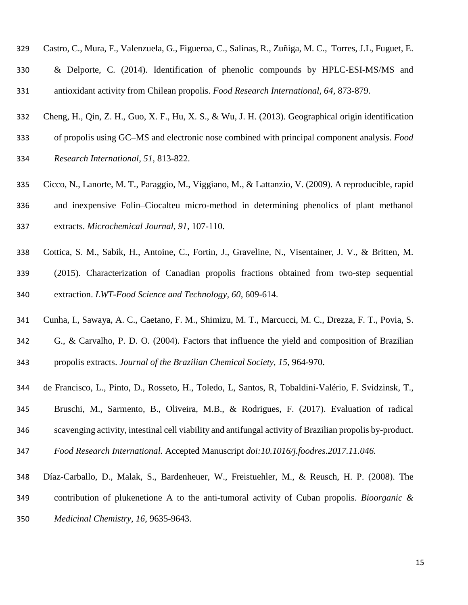- Castro, C., Mura, F., Valenzuela, G., Figueroa, C., Salinas, R., Zuñiga, M. C., Torres, J.L, Fuguet, E. & Delporte, C. (2014). Identification of phenolic compounds by HPLC-ESI-MS/MS and antioxidant activity from Chilean propolis. *Food Research International, 64,* 873-879.
- Cheng, H., Qin, Z. H., Guo, X. F., Hu, X. S., & Wu, J. H. (2013). Geographical origin identification
- of propolis using GC–MS and electronic nose combined with principal component analysis. *Food*
- *Research International*, *51*, 813-822.
- Cicco, N., Lanorte, M. T., Paraggio, M., Viggiano, M., & Lattanzio, V. (2009). A reproducible, rapid and inexpensive Folin–Ciocalteu micro-method in determining phenolics of plant methanol extracts. *Microchemical Journal*, *91*, 107-110.
- Cottica, S. M., Sabik, H., Antoine, C., Fortin, J., Graveline, N., Visentainer, J. V., & Britten, M.
- (2015). Characterization of Canadian propolis fractions obtained from two-step sequential extraction. *LWT-Food Science and Technology, 60*, 609-614.
- Cunha, I., Sawaya, A. C., Caetano, F. M., Shimizu, M. T., Marcucci, M. C., Drezza, F. T., Povia, S.
- G., & Carvalho, P. D. O. (2004). Factors that influence the yield and composition of Brazilian propolis extracts. *Journal of the Brazilian Chemical Society*, *15*, 964-970.
- de Francisco, L., Pinto, D., Rosseto, H., Toledo, L, Santos, R, Tobaldini-Valério, F. Svidzinsk, T.,
- Bruschi, M., Sarmento, B., Oliveira, M.B., & Rodrigues, F. (2017). Evaluation of radical
- scavenging activity, intestinal cell viability and antifungal activity of Brazilian propolis by-product.
- *Food Research International.* Accepted Manuscript *doi:10.1016/j.foodres.2017.11.046.*
- Díaz-Carballo, D., Malak, S., Bardenheuer, W., Freistuehler, M., & Reusch, H. P. (2008). The
- contribution of plukenetione A to the anti-tumoral activity of Cuban propolis. *Bioorganic &*
- *Medicinal Chemistry*, *16*, 9635-9643.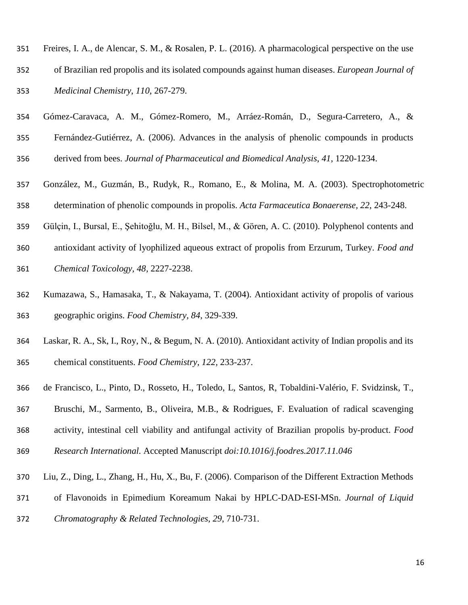- Freires, I. A., de Alencar, S. M., & Rosalen, P. L. (2016). A pharmacological perspective on the use
- of Brazilian red propolis and its isolated compounds against human diseases. *European Journal of Medicinal Chemistry*, *110*, 267-279.
- Gómez-Caravaca, A. M., Gómez-Romero, M., Arráez-Román, D., Segura-Carretero, A., &
- Fernández-Gutiérrez, A. (2006). Advances in the analysis of phenolic compounds in products
- derived from bees. *Journal of Pharmaceutical and Biomedical Analysis*, *41*, 1220-1234.
- González, M., Guzmán, B., Rudyk, R., Romano, E., & Molina, M. A. (2003). Spectrophotometric determination of phenolic compounds in propolis. *Acta Farmaceutica Bonaerense, 22*, 243-248.
- Gülçin, I., Bursal, E., Şehitoğlu, M. H., Bilsel, M., & Gören, A. C. (2010). Polyphenol contents and
- antioxidant activity of lyophilized aqueous extract of propolis from Erzurum, Turkey. *Food and Chemical Toxicology, 48,* 2227-2238.
- Kumazawa, S., Hamasaka, T., & Nakayama, T. (2004). Antioxidant activity of propolis of various geographic origins. *Food Chemistry, 84,* 329-339.
- Laskar, R. A., Sk, I., Roy, N., & Begum, N. A. (2010). Antioxidant activity of Indian propolis and its chemical constituents. *Food Chemistry, 122,* 233-237.
- de Francisco, L., Pinto, D., Rosseto, H., Toledo, L, Santos, R, Tobaldini-Valério, F. Svidzinsk, T.,
- Bruschi, M., Sarmento, B., Oliveira, M.B., & Rodrigues, F. Evaluation of radical scavenging activity, intestinal cell viability and antifungal activity of Brazilian propolis by-product. *Food*
- *Research International.* Accepted Manuscript *doi:10.1016/j.foodres.2017.11.046*
- Liu, Z., Ding, L., Zhang, H., Hu, X., Bu, F. (2006). Comparison of the Different Extraction Methods
- of Flavonoids in Epimedium Koreamum Nakai by HPLC-DAD-ESI-MSn. *Journal of Liquid*
- *Chromatography & Related Technologies, 29*, 710-731.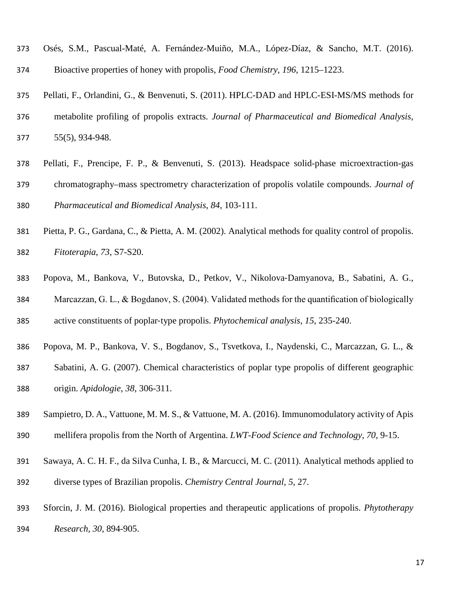- Osés, S.M., Pascual-Maté, A. Fernández-Muiño, M.A., López-Díaz, & Sancho, M.T. (2016). Bioactive properties of honey with propolis, *Food Chemistry, 196,* 1215–1223.
- Pellati, F., Orlandini, G., & Benvenuti, S. (2011). HPLC-DAD and HPLC-ESI-MS/MS methods for
- metabolite profiling of propolis extracts. *Journal of Pharmaceutical and Biomedical Analysis,* 55(5), 934-948.
- Pellati, F., Prencipe, F. P., & Benvenuti, S. (2013). Headspace solid-phase microextraction-gas
- chromatography–mass spectrometry characterization of propolis volatile compounds. *Journal of Pharmaceutical and Biomedical Analysis*, *84*, 103-111.
- Pietta, P. G., Gardana, C., & Pietta, A. M. (2002). Analytical methods for quality control of propolis. *Fitoterapia*, *73*, S7-S20.
- Popova, M., Bankova, V., Butovska, D., Petkov, V., Nikolova‐Damyanova, B., Sabatini, A. G., Marcazzan, G. L., & Bogdanov, S. (2004). Validated methods for the quantification of biologically
- active constituents of poplar‐type propolis. *Phytochemical analysis*, *15*, 235-240.
- Popova, M. P., Bankova, V. S., Bogdanov, S., Tsvetkova, I., Naydenski, C., Marcazzan, G. L., &
- Sabatini, A. G. (2007). Chemical characteristics of poplar type propolis of different geographic origin. *Apidologie*, *38*, 306-311.
- Sampietro, D. A., Vattuone, M. M. S., & Vattuone, M. A. (2016). Immunomodulatory activity of Apis
- mellifera propolis from the North of Argentina. *LWT-Food Science and Technology, 70,* 9-15.
- Sawaya, A. C. H. F., da Silva Cunha, I. B., & Marcucci, M. C. (2011). Analytical methods applied to
- diverse types of Brazilian propolis. *Chemistry Central Journal*, *5*, 27.
- Sforcin, J. M. (2016). Biological properties and therapeutic applications of propolis. *Phytotherapy Research, 30*, 894-905.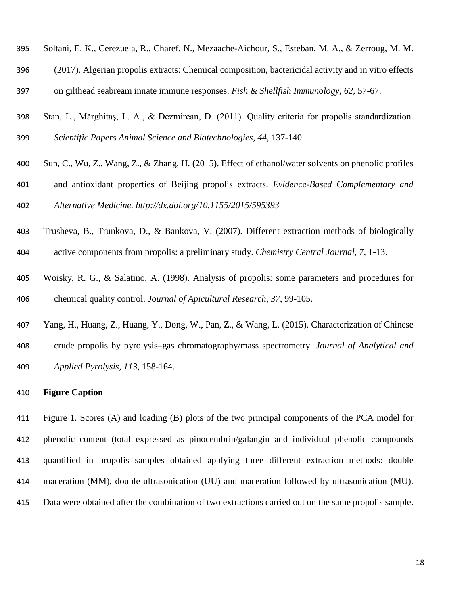- Soltani, E. K., Cerezuela, R., Charef, N., Mezaache-Aichour, S., Esteban, M. A., & Zerroug, M. M.
- (2017). Algerian propolis extracts: Chemical composition, bactericidal activity and in vitro effects
- on gilthead seabream innate immune responses. *Fish & Shellfish Immunology, 62,* 57-67.
- Stan, L., Mărghitaş, L. A., & Dezmirean, D. (2011). Quality criteria for propolis standardization. *Scientific Papers Animal Science and Biotechnologies, 44*, 137-140.
- Sun, C., Wu, Z., Wang, Z., & Zhang, H. (2015). Effect of ethanol/water solvents on phenolic profiles
- and antioxidant properties of Beijing propolis extracts. *Evidence-Based Complementary and*

*Alternative Medicine.<http://dx.doi.org/10.1155/2015/595393>*

- Trusheva, B., Trunkova, D., & Bankova, V. (2007). Different extraction methods of biologically
- active components from propolis: a preliminary study. *Chemistry Central Journal, 7*, 1-13.
- Woisky, R. G., & Salatino, A. (1998). Analysis of propolis: some parameters and procedures for chemical quality control. *Journal of Apicultural Research, 37*, 99-105.
- Yang, H., Huang, Z., Huang, Y., Dong, W., Pan, Z., & Wang, L. (2015). Characterization of Chinese crude propolis by pyrolysis–gas chromatography/mass spectrometry. *Journal of Analytical and Applied Pyrolysis, 113*, 158-164.

## **Figure Caption**

 Figure 1. Scores (A) and loading (B) plots of the two principal components of the PCA model for phenolic content (total expressed as pinocembrin/galangin and individual phenolic compounds quantified in propolis samples obtained applying three different extraction methods: double maceration (MM), double ultrasonication (UU) and maceration followed by ultrasonication (MU). Data were obtained after the combination of two extractions carried out on the same propolis sample.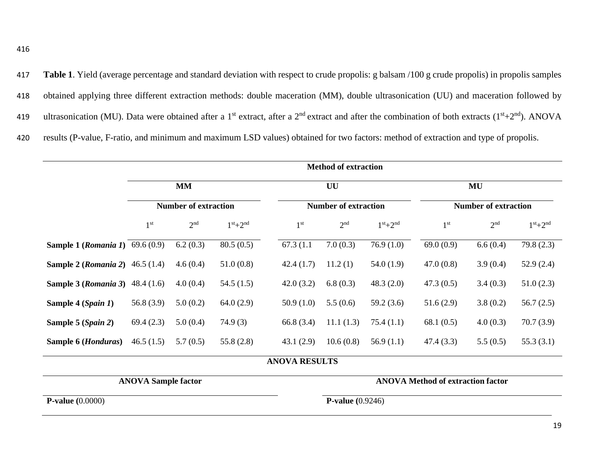**Table 1**. Yield (average percentage and standard deviation with respect to crude propolis: g balsam /100 g crude propolis) in propolis samples obtained applying three different extraction methods: double maceration (MM), double ultrasonication (UU) and maceration followed by 419 ultrasonication (MU). Data were obtained after a 1<sup>st</sup> extract, after a 2<sup>nd</sup> extract and after the combination of both extracts (1<sup>st</sup>+2<sup>nd</sup>). ANOVA results (P-value, F-ratio, and minimum and maximum LSD values) obtained for two factors: method of extraction and type of propolis.

|                                        | <b>Method of extraction</b> |                                          |           |                      |                             |           |                             |                 |              |  |
|----------------------------------------|-----------------------------|------------------------------------------|-----------|----------------------|-----------------------------|-----------|-----------------------------|-----------------|--------------|--|
|                                        | <b>MM</b>                   |                                          |           |                      | UU                          |           | MU                          |                 |              |  |
|                                        |                             | <b>Number of extraction</b>              |           |                      | <b>Number of extraction</b> |           | <b>Number of extraction</b> |                 |              |  |
|                                        | 1 <sup>st</sup>             | 2 <sup>nd</sup>                          | $1st+2nd$ | 1 <sup>st</sup>      | 2 <sup>nd</sup>             | $1st+2nd$ | 1 <sup>st</sup>             | 2 <sup>nd</sup> | $1st+2nd$    |  |
| <b>Sample 1 (Romania 1)</b> 69.6 (0.9) |                             | 6.2(0.3)                                 | 80.5(0.5) | 67.3 (1.1)           | 7.0(0.3)                    | 76.9(1.0) | 69.0(0.9)                   | 6.6(0.4)        | 79.8(2.3)    |  |
| <b>Sample 2 (Romania 2)</b> 46.5 (1.4) |                             | 4.6(0.4)                                 | 51.0(0.8) | 42.4(1.7)            | 11.2(1)                     | 54.0(1.9) | 47.0(0.8)                   | 3.9(0.4)        | 52.9(2.4)    |  |
| <b>Sample 3 (Romania 3)</b> 48.4 (1.6) |                             | 4.0(0.4)                                 | 54.5(1.5) | 42.0(3.2)            | 6.8(0.3)                    | 48.3(2.0) | 47.3(0.5)                   | 3.4(0.3)        | 51.0(2.3)    |  |
| Sample 4 (Spain 1)                     | 56.8 $(3.9)$                | 5.0(0.2)                                 | 64.0(2.9) | 50.9(1.0)            | 5.5(0.6)                    | 59.2(3.6) | 51.6(2.9)                   | 3.8(0.2)        | 56.7 $(2.5)$ |  |
| Sample 5 (Spain 2)                     | 69.4(2.3)                   | 5.0(0.4)                                 | 74.9(3)   | 66.8 (3.4)           | 11.1(1.3)                   | 75.4(1.1) | 68.1 $(0.5)$                | 4.0(0.3)        | 70.7(3.9)    |  |
| Sample 6 ( <i>Honduras</i> )           | 46.5(1.5)                   | 5.7(0.5)                                 | 55.8(2.8) | 43.1(2.9)            | 10.6(0.8)                   | 56.9(1.1) | 47.4(3.3)                   | 5.5(0.5)        | 55.3 $(3.1)$ |  |
|                                        |                             |                                          |           | <b>ANOVA RESULTS</b> |                             |           |                             |                 |              |  |
| <b>ANOVA Sample factor</b>             |                             | <b>ANOVA Method of extraction factor</b> |           |                      |                             |           |                             |                 |              |  |
| <b>P-value</b> $(0.0000)$              |                             |                                          |           |                      | <b>P-value</b> $(0.9246)$   |           |                             |                 |              |  |
|                                        |                             |                                          |           |                      |                             |           |                             |                 |              |  |

19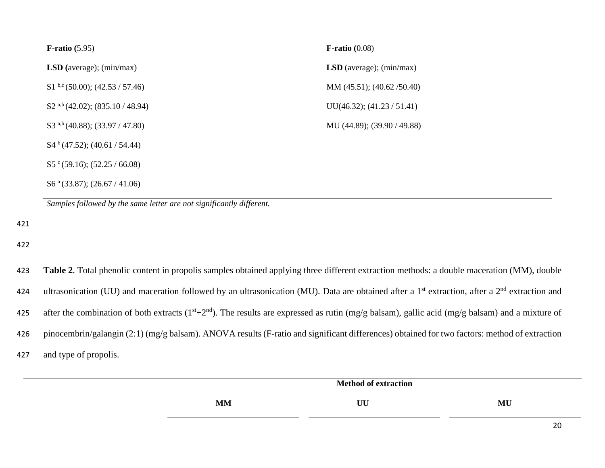| $\mathbf{F}\text{-ratio}(0.08)$   |
|-----------------------------------|
| <b>LSD</b> (average); $(min/max)$ |
| MM $(45.51)$ ; $(40.62 / 50.40)$  |
| $UU(46.32);$ $(41.23 / 51.41)$    |
| MU (44.89); (39.90 / 49.88)       |
|                                   |
|                                   |
|                                   |
|                                   |

*Samples followed by the same letter are not significantly different.*

421

422

423 **Table 2**. Total phenolic content in propolis samples obtained applying three different extraction methods: a double maceration (MM), double 424 ultrasonication (UU) and maceration followed by an ultrasonication (MU). Data are obtained after a 1<sup>st</sup> extraction, after a 2<sup>nd</sup> extraction and 425 after the combination of both extracts ( $1^{st}+2^{nd}$ ). The results are expressed as rutin (mg/g balsam), gallic acid (mg/g balsam) and a mixture of 426 pinocembrin/galangin (2:1) (mg/g balsam). ANOVA results (F-ratio and significant differences) obtained for two factors: method of extraction 427 and type of propolis.

|           | <b>Method of extraction</b> |    |
|-----------|-----------------------------|----|
| <b>MM</b> | UU                          | MU |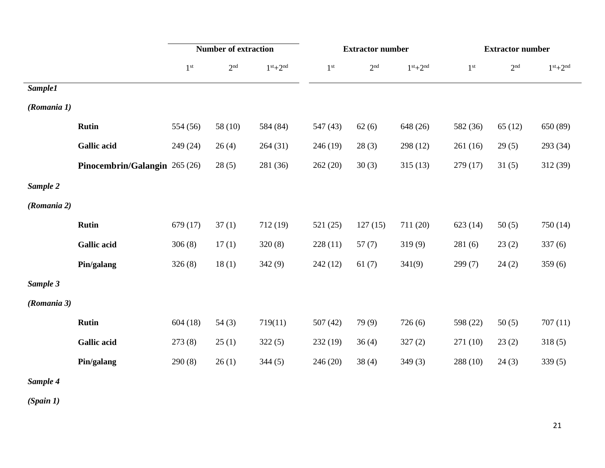|             |                               | <b>Number of extraction</b> |                 | <b>Extractor number</b> |                 |                 | <b>Extractor number</b> |                 |                 |           |
|-------------|-------------------------------|-----------------------------|-----------------|-------------------------|-----------------|-----------------|-------------------------|-----------------|-----------------|-----------|
|             |                               | $1^{\rm st}$                | 2 <sup>nd</sup> | $1st+2nd$               | 1 <sup>st</sup> | 2 <sup>nd</sup> | $1st+2nd$               | 1 <sup>st</sup> | 2 <sup>nd</sup> | $1st+2nd$ |
| Sample1     |                               |                             |                 |                         |                 |                 |                         |                 |                 |           |
| (Romania 1) |                               |                             |                 |                         |                 |                 |                         |                 |                 |           |
|             | <b>Rutin</b>                  | 554 (56)                    | 58(10)          | 584 (84)                | 547 (43)        | 62(6)           | 648 (26)                | 582 (36)        | 65(12)          | 650 (89)  |
|             | <b>Gallic acid</b>            | 249 (24)                    | 26(4)           | 264(31)                 | 246(19)         | 28(3)           | 298 (12)                | 261(16)         | 29(5)           | 293 (34)  |
|             | Pinocembrin/Galangin 265 (26) |                             | 28(5)           | 281 (36)                | 262(20)         | 30(3)           | 315(13)                 | 279(17)         | 31(5)           | 312(39)   |
| Sample 2    |                               |                             |                 |                         |                 |                 |                         |                 |                 |           |
| (Romania 2) |                               |                             |                 |                         |                 |                 |                         |                 |                 |           |
|             | <b>Rutin</b>                  | 679(17)                     | 37(1)           | 712(19)                 | 521(25)         | 127(15)         | 711 (20)                | 623(14)         | 50(5)           | 750 (14)  |
|             | <b>Gallic acid</b>            | 306(8)                      | 17(1)           | 320(8)                  | 228(11)         | 57(7)           | 319(9)                  | 281(6)          | 23(2)           | 337(6)    |
|             | Pin/galang                    | 326(8)                      | 18(1)           | 342(9)                  | 242(12)         | 61(7)           | 341(9)                  | 299(7)          | 24(2)           | 359(6)    |
| Sample 3    |                               |                             |                 |                         |                 |                 |                         |                 |                 |           |
| (Romania 3) |                               |                             |                 |                         |                 |                 |                         |                 |                 |           |
|             | <b>Rutin</b>                  | 604(18)                     | 54(3)           | 719(11)                 | 507(42)         | 79(9)           | 726(6)                  | 598 (22)        | 50(5)           | 707(11)   |
|             | <b>Gallic acid</b>            | 273(8)                      | 25(1)           | 322(5)                  | 232(19)         | 36(4)           | 327(2)                  | 271(10)         | 23(2)           | 318(5)    |
|             | Pin/galang                    | 290(8)                      | 26(1)           | 344(5)                  | 246(20)         | 38(4)           | 349(3)                  | 288 (10)        | 24(3)           | 339(5)    |
| Sample 4    |                               |                             |                 |                         |                 |                 |                         |                 |                 |           |

*(Spain 1)*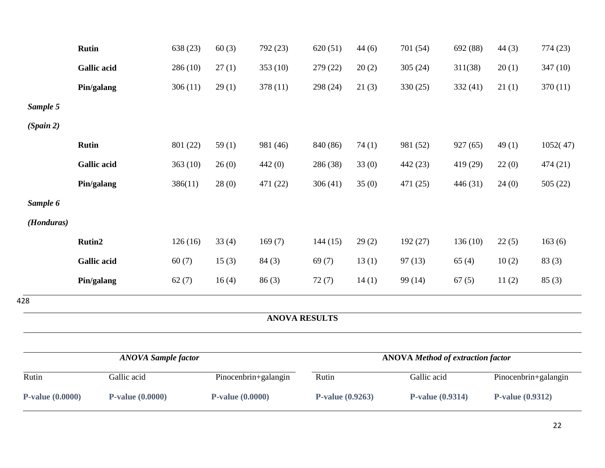| <b>P-value (0.0000)</b><br><b>P-value</b> (0.0000) |                            | <b>P-value (0.0000)</b> |                      | P-value (0.9263) |                      | <b>P-value (0.9314)</b> |                                          | P-value (0.9312) |                      |          |
|----------------------------------------------------|----------------------------|-------------------------|----------------------|------------------|----------------------|-------------------------|------------------------------------------|------------------|----------------------|----------|
| Rutin                                              | Gallic acid                |                         | Pinocenbrin+galangin |                  | Rutin                |                         | Gallic acid                              |                  | Pinocenbrin+galangin |          |
|                                                    | <b>ANOVA Sample factor</b> |                         |                      |                  |                      |                         | <b>ANOVA</b> Method of extraction factor |                  |                      |          |
|                                                    |                            |                         |                      |                  |                      |                         |                                          |                  |                      |          |
|                                                    |                            |                         |                      |                  | <b>ANOVA RESULTS</b> |                         |                                          |                  |                      |          |
| 428                                                |                            |                         |                      |                  |                      |                         |                                          |                  |                      |          |
|                                                    | Pin/galang                 | 62(7)                   | 16(4)                | 86(3)            | 72(7)                | 14(1)                   | 99 (14)                                  | 67(5)            | 11(2)                | 85(3)    |
|                                                    | <b>Gallic acid</b>         | 60(7)                   | 15(3)                | 84(3)            | 69(7)                | 13(1)                   | 97(13)                                   | 65(4)            | 10(2)                | 83(3)    |
|                                                    | Rutin2                     | 126(16)                 | 33(4)                | 169(7)           | 144(15)              | 29(2)                   | 192(27)                                  | 136(10)          | 22(5)                | 163(6)   |
| (Honduras)                                         |                            |                         |                      |                  |                      |                         |                                          |                  |                      |          |
| Sample 6                                           |                            |                         |                      |                  |                      |                         |                                          |                  |                      |          |
|                                                    | Pin/galang                 | 386(11)                 | 28(0)                | 471 (22)         | 306(41)              | 35(0)                   | 471 (25)                                 | 446 (31)         | 24(0)                | 505(22)  |
|                                                    | <b>Gallic acid</b>         | 363(10)                 | 26(0)                | 442(0)           | 286 (38)             | 33(0)                   | 442 (23)                                 | 419 (29)         | 22(0)                | 474 (21) |
|                                                    | <b>Rutin</b>               | 801 (22)                | 59(1)                | 981 (46)         | 840 (86)             | 74(1)                   | 981 (52)                                 | 927(65)          | 49(1)                | 1052(47) |
| (Spain 2)                                          |                            |                         |                      |                  |                      |                         |                                          |                  |                      |          |
| Sample 5                                           |                            |                         |                      |                  |                      |                         |                                          |                  |                      |          |
|                                                    | Pin/galang                 | 306(11)                 | 29(1)                | 378 (11)         | 298 (24)             | 21(3)                   | 330(25)                                  | 332(41)          | 21(1)                | 370(11)  |
|                                                    | <b>Gallic acid</b>         | 286(10)                 | 27(1)                | 353 (10)         | 279 (22)             | 20(2)                   | 305(24)                                  | 311(38)          | 20(1)                | 347(10)  |
|                                                    | <b>Rutin</b>               | 638 (23)                | 60(3)                | 792 (23)         | 620(51)              | 44(6)                   | 701 (54)                                 | 692 (88)         | 44(3)                | 774 (23) |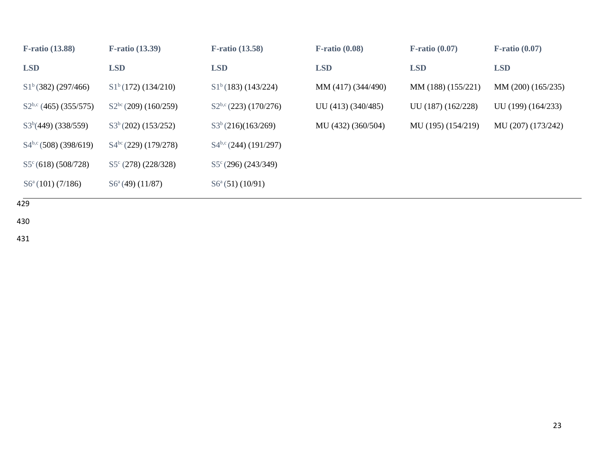| <b>F-ratio (13.88)</b>          | <b>F-ratio (13.39)</b>       | <b>F-ratio (13.58)</b>          | $F$ -ratio $(0.08)$ | $F$ -ratio $(0.07)$ | $F$ -ratio $(0.07)$ |
|---------------------------------|------------------------------|---------------------------------|---------------------|---------------------|---------------------|
| <b>LSD</b>                      | <b>LSD</b>                   | <b>LSD</b>                      | <b>LSD</b>          | <b>LSD</b>          | <b>LSD</b>          |
| $S1^b(382)$ (297/466)           | $S1^b(172)$ (134/210)        | S1 <sup>b</sup> (183) (143/224) | MM (417) (344/490)  | MM (188) (155/221)  | MM (200) (165/235)  |
| $S2^{b,c}$ (465) (355/575)      | $S2^{bc}$ (209) (160/259)    | $S2^{b,c}$ (223) (170/276)      | UU (413) (340/485)  | UU (187) (162/228)  | UU (199) (164/233)  |
| $S3b(449)$ (338/559)            | $S3^b(202)$ (153/252)        | S3 <sup>b</sup> (216)(163/269)  | MU (432) (360/504)  | MU (195) (154/219)  | MU (207) (173/242)  |
| $S4^{b,c}$ (508) (398/619)      | $S4^{bc}$ (229) (179/278)    | $S4^{b,c}$ (244) (191/297)      |                     |                     |                     |
| S5 <sup>c</sup> (618) (508/728) | $S5^{\circ}$ (278) (228/328) | $S5^{\circ}$ (296) (243/349)    |                     |                     |                     |
| $S6^a(101)$ (7/186)             | $S6^a(49)$ (11/87)           | $S6^a(51)(10/91)$               |                     |                     |                     |

 $429$ 

430

431